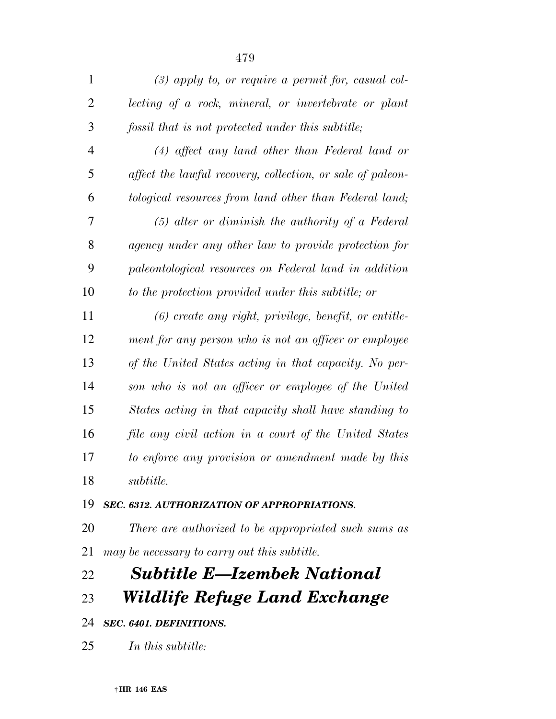| $\mathbf{1}$   | $(3)$ apply to, or require a permit for, casual col-       |
|----------------|------------------------------------------------------------|
| $\overline{2}$ | lecting of a rock, mineral, or invertebrate or plant       |
| 3              | fossil that is not protected under this subtitle;          |
| $\overline{4}$ | $(4)$ affect any land other than Federal land or           |
| 5              | affect the lawful recovery, collection, or sale of paleon- |
| 6              | tological resources from land other than Federal land;     |
| 7              | $(5)$ alter or diminish the authority of a Federal         |
| 8              | agency under any other law to provide protection for       |
| 9              | paleontological resources on Federal land in addition      |
| 10             | to the protection provided under this subtitle; or         |
| 11             | $(6)$ create any right, privilege, benefit, or entitle-    |
| 12             | ment for any person who is not an officer or employee      |
| 13             | of the United States acting in that capacity. No per-      |
| 14             | son who is not an officer or employee of the United        |
| 15             | States acting in that capacity shall have standing to      |
| 16             | file any civil action in a court of the United States      |
| 17             | to enforce any provision or amendment made by this         |
| 18             | subtitle.                                                  |
|                |                                                            |

## *SEC. 6312. AUTHORIZATION OF APPROPRIATIONS.*

 *There are authorized to be appropriated such sums as may be necessary to carry out this subtitle.* 

# *Subtitle E—Izembek National*

*Wildlife Refuge Land Exchange* 

### *SEC. 6401. DEFINITIONS.*

*In this subtitle:*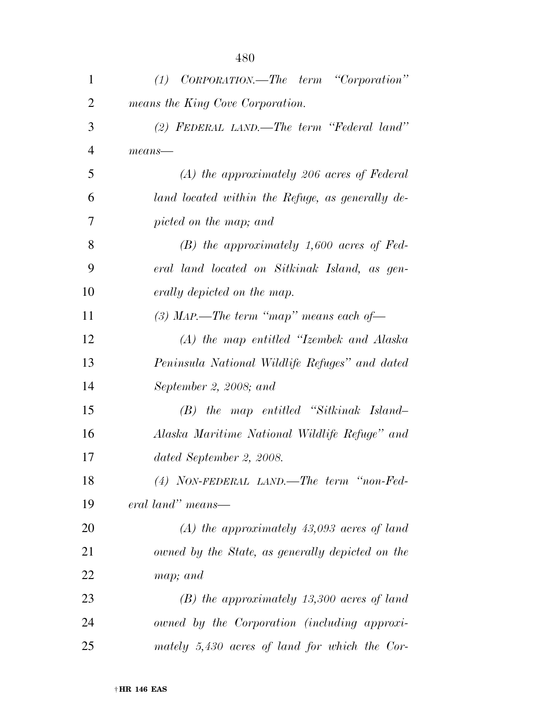| $\mathbf{1}$   | CORPORATION.—The term "Corporation"<br>(1)       |
|----------------|--------------------------------------------------|
| $\overline{2}$ | means the King Cove Corporation.                 |
| 3              | (2) FEDERAL LAND.—The term "Federal land"        |
| $\overline{4}$ | $means$ —                                        |
| 5              | $(A)$ the approximately 206 acres of Federal     |
| 6              | land located within the Refuge, as generally de- |
| 7              | picted on the map; and                           |
| 8              | $(B)$ the approximately 1,600 acres of Fed-      |
| 9              | eral land located on Sitkinak Island, as gen-    |
| 10             | erally depicted on the map.                      |
| 11             | (3) MAP.—The term "map" means each of—           |
| 12             | (A) the map entitled "Izembek and Alaska         |
| 13             | Peninsula National Wildlife Refuges" and dated   |
| 14             | September 2, 2008; and                           |
| 15             | $(B)$ the map entitled "Sitkinak Island-         |
| 16             | Alaska Maritime National Wildlife Refuge" and    |
| 17             | dated September 2, 2008.                         |
| 18             | (4) NON-FEDERAL LAND.—The term "non-Fed-         |
| 19             | eral land" means—                                |
| 20             | $(A)$ the approximately 43,093 acres of land     |
| 21             | owned by the State, as generally depicted on the |
| 22             | map; and                                         |
| 23             | $(B)$ the approximately 13,300 acres of land     |
| 24             | owned by the Corporation (including approxi-     |
| 25             | mately $5,430$ acres of land for which the Cor-  |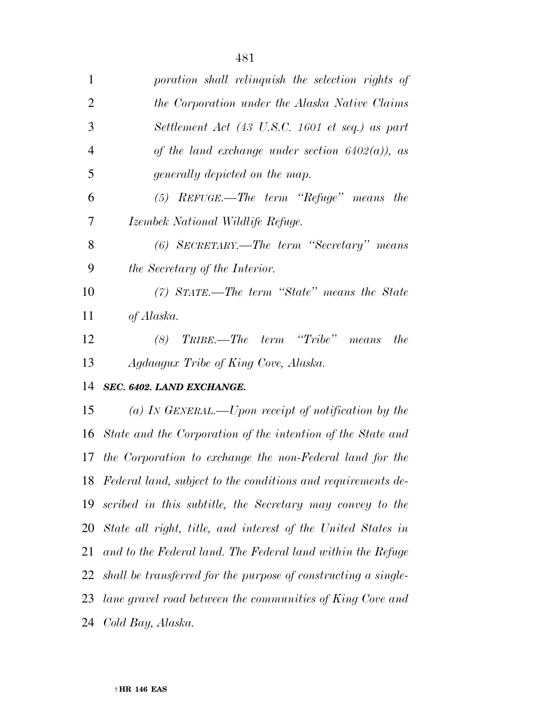| 3              | Settlement Act (43 U.S.C. 1601 et seq.) as part                 |
|----------------|-----------------------------------------------------------------|
| $\overline{4}$ | of the land exchange under section $6402(a)$ , as               |
| 5              | generally depicted on the map.                                  |
| 6              | $(5)$ REFUGE.—The term "Refuge" means the                       |
| 7              | Izembek National Wildlife Refuge.                               |
| 8              | (6) SECRETARY.—The term "Secretary" means                       |
| 9              | the Secretary of the Interior.                                  |
| 10             | $(7)$ STATE.—The term "State" means the State                   |
| 11             | of Alaska.                                                      |
| 12             | TRIBE.—The term "Tribe" means<br>(8)<br>the                     |
| 13             | Agdaagux Tribe of King Cove, Alaska.                            |
| 14             | SEC. 6402. LAND EXCHANGE.                                       |
| 15             | (a) IN GENERAL.—Upon receipt of notification by the             |
| 16             | State and the Corporation of the intention of the State and     |
| 17             | the Corporation to exchange the non-Federal land for the        |
| 18             | Federal land, subject to the conditions and requirements de-    |
| 19             | scribed in this subtitle, the Secretary may convey to the       |
|                | 20 State all right, title, and interest of the United States in |
|                |                                                                 |

*and to the Federal land. The Federal land within the Refuge* 

*shall be transferred for the purpose of constructing a single-*

*lane gravel road between the communities of King Cove and* 

*Cold Bay, Alaska.*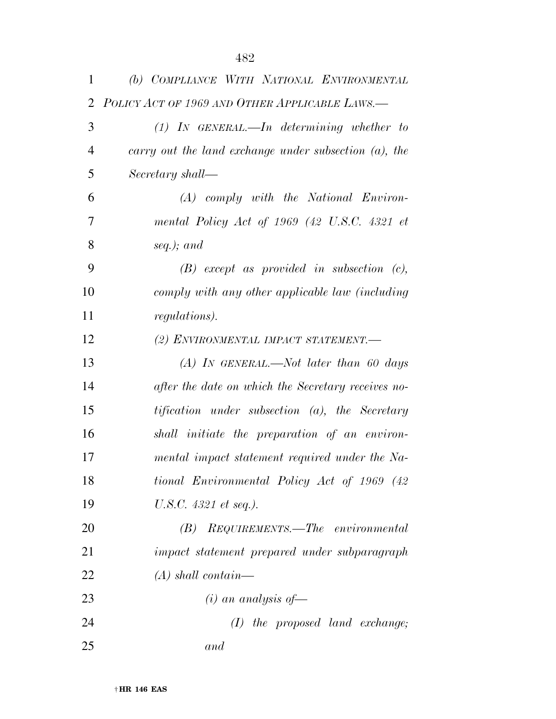| 1              | (b) COMPLIANCE WITH NATIONAL ENVIRONMENTAL               |
|----------------|----------------------------------------------------------|
| 2              | POLICY ACT OF 1969 AND OTHER APPLICABLE LAWS.-           |
| 3              | $(1)$ IN GENERAL.—In determining whether to              |
| $\overline{4}$ | carry out the land exchange under subsection $(a)$ , the |
| 5              | Secretary shall—                                         |
| 6              | $(A)$ comply with the National Environ-                  |
| 7              | mental Policy Act of 1969 (42 U.S.C. 4321 et             |
| 8              | seq.); and                                               |
| 9              | $(B)$ except as provided in subsection $(c)$ ,           |
| 10             | comply with any other applicable law (including          |
| 11             | <i>regulations</i> ).                                    |
| 12             | (2) ENVIRONMENTAL IMPACT STATEMENT.-                     |
| 13             | $(A)$ IN GENERAL.—Not later than 60 days                 |
| 14             | after the date on which the Secretary receives no-       |
| 15             | tification under subsection (a), the Secretary           |
| 16             | shall initiate the preparation of an environ-            |
| 17             | mental impact statement required under the Na-           |
| 18             | tional Environmental Policy Act of 1969 (42)             |
| 19             | U.S.C. 4321 et seq.).                                    |
| 20             | REQUIREMENTS.—The environmental<br>(B)                   |
| 21             | impact statement prepared under subparagraph             |
| 22             | $(A)$ shall contain—                                     |
| 23             | $(i)$ an analysis of —                                   |
|                |                                                          |

 *(I) the proposed land exchange; and*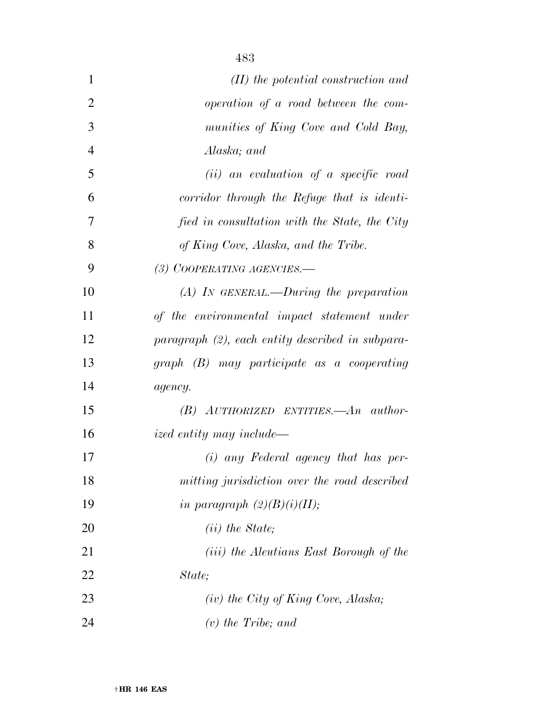| $\mathbf{1}$   | $(II)$ the potential construction and            |
|----------------|--------------------------------------------------|
| $\overline{2}$ | operation of a road between the com-             |
| 3              | munities of King Cove and Cold Bay,              |
| $\overline{4}$ | Alaska; and                                      |
| 5              | $(ii)$ an evaluation of a specific road          |
| 6              | corridor through the Refuge that is identi-      |
| 7              | fied in consultation with the State, the City    |
| 8              | of King Cove, Alaska, and the Tribe.             |
| 9              | (3) COOPERATING AGENCIES.-                       |
| 10             | $(A)$ In GENERAL.—During the preparation         |
| 11             | of the environmental impact statement under      |
| 12             | paragraph (2), each entity described in subpara- |
| 13             | $graph (B)$ may participate as a cooperating     |
| 14             | agency.                                          |
| 15             | $(B)$ AUTHORIZED ENTITIES.—An author-            |
| 16             | <i>ized entity may include—</i>                  |
| 17             | $(i)$ any Federal agency that has per-           |
| 18             | mitting jurisdiction over the road described     |
| 19             | in paragraph $(2)(B)(i)(II);$                    |
| 20             | $(ii)$ the State;                                |
| 21             | ( <i>iii</i> ) the Aleutians East Borough of the |
| 22             | State;                                           |
| 23             | $(iv)$ the City of King Cove, Alaska;            |
| 24             | $(v)$ the Tribe; and                             |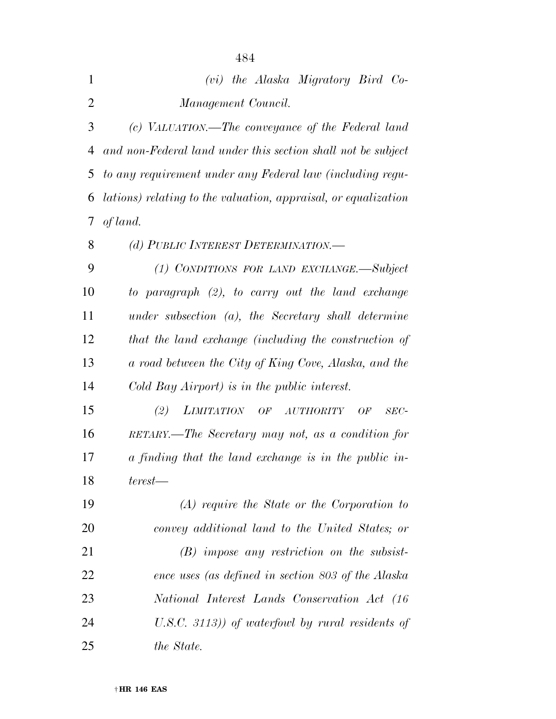| $\mathbf{1}$   | (vi) the Alaska Migratory Bird Co-                             |
|----------------|----------------------------------------------------------------|
| $\overline{2}$ | Management Council.                                            |
| 3              | (c) VALUATION.—The conveyance of the Federal land              |
| 4              | and non-Federal land under this section shall not be subject   |
| 5              | to any requirement under any Federal law (including regu-      |
| 6              | lations) relating to the valuation, appraisal, or equalization |
| 7              | of land.                                                       |
| 8              | (d) PUBLIC INTEREST DETERMINATION.—                            |
| 9              | (1) CONDITIONS FOR LAND EXCHANGE.—Subject                      |
| 10             | to paragraph (2), to carry out the land exchange               |
| 11             | $under$ subsection $(a)$ , the Secretary shall determine       |
| 12             | that the land exchange (including the construction of          |
| 13             | a road between the City of King Cove, Alaska, and the          |
| 14             | Cold Bay Airport) is in the public interest.                   |
| 15             | (2)<br><i>LIMITATION</i><br>OF AUTHORITY<br>OF<br>$SEC-$       |
| 16             | RETARY.—The Secretary may not, as a condition for              |
| 17             | a finding that the land exchange is in the public in-          |
| 18             | $terest$ —                                                     |
| 19             | $(A)$ require the State or the Corporation to                  |
| 20             | convey additional land to the United States; or                |
| 21             | $(B)$ impose any restriction on the subsist-                   |
| 22             | ence uses (as defined in section 803 of the Alaska             |
| 23             | National Interest Lands Conservation Act (16)                  |
| 24             | $(U.S.C. 3113))$ of waterfowl by rural residents of            |
| 25             | the State.                                                     |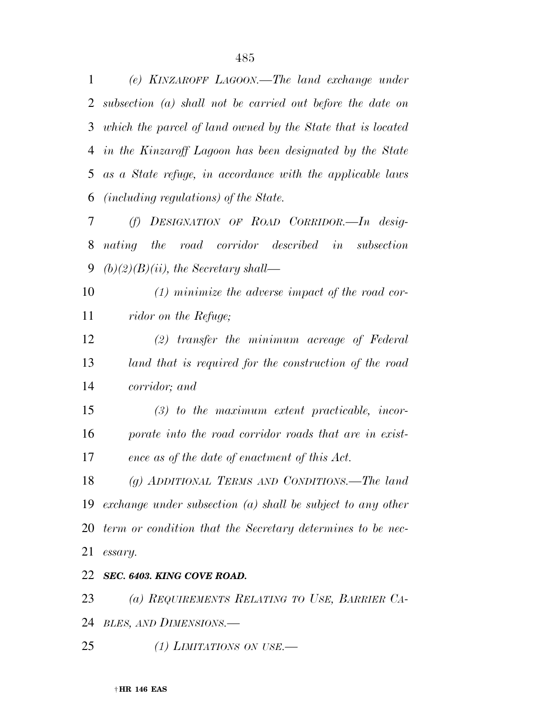*(e) KINZAROFF LAGOON.—The land exchange under subsection (a) shall not be carried out before the date on which the parcel of land owned by the State that is located in the Kinzaroff Lagoon has been designated by the State as a State refuge, in accordance with the applicable laws (including regulations) of the State.* 

 *(f) DESIGNATION OF ROAD CORRIDOR.—In desig- nating the road corridor described in subsection (b)(2)(B)(ii), the Secretary shall—* 

 *(1) minimize the adverse impact of the road cor-ridor on the Refuge;* 

 *(2) transfer the minimum acreage of Federal land that is required for the construction of the road corridor; and* 

 *(3) to the maximum extent practicable, incor- porate into the road corridor roads that are in exist-ence as of the date of enactment of this Act.* 

 *(g) ADDITIONAL TERMS AND CONDITIONS.—The land exchange under subsection (a) shall be subject to any other term or condition that the Secretary determines to be nec-essary.* 

#### *SEC. 6403. KING COVE ROAD.*

*(a) REQUIREMENTS RELATING TO USE, BARRIER CA-*

*BLES, AND DIMENSIONS.—* 

*(1) LIMITATIONS ON USE.—*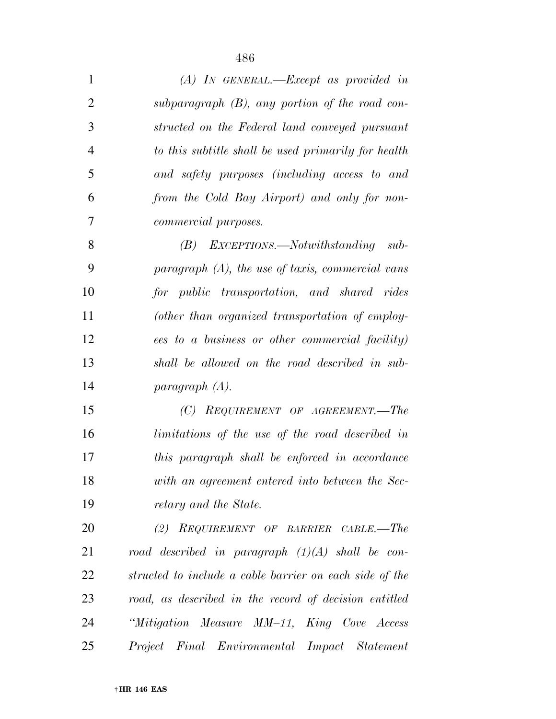| $\mathbf{1}$   | $(A)$ In GENERAL.—Except as provided in                 |
|----------------|---------------------------------------------------------|
| $\overline{2}$ | subparagraph $(B)$ , any portion of the road con-       |
| 3              | structed on the Federal land conveyed pursuant          |
| $\overline{4}$ | to this subtitle shall be used primarily for health     |
| 5              | and safety purposes (including access to and            |
| 6              | from the Cold Bay Airport) and only for non-            |
| 7              | commercial purposes.                                    |
| 8              | $(B)$ EXCEPTIONS.—Notwithstanding sub-                  |
| 9              | paragraph $(A)$ , the use of taxis, commercial vans     |
| 10             | for public transportation, and shared rides             |
| 11             | (other than organized transportation of employ-         |
| 12             | ees to a business or other commercial facility)         |
| 13             | shall be allowed on the road described in sub-          |
| 14             | paragnph(A).                                            |
| 15             | (C) REQUIREMENT OF AGREEMENT.—The                       |
| 16             | limitations of the use of the road described in         |
| 17             | this paragraph shall be enforced in accordance          |
| 18             | with an agreement entered into between the Sec-         |
| 19             | retary and the State.                                   |
| 20             | (2) REQUIREMENT OF BARRIER CABLE.—The                   |
| 21             | road described in paragraph $(1)(A)$ shall be con-      |
| 22             | structed to include a cable barrier on each side of the |
| 23             | road, as described in the record of decision entitled   |
| 24             | "Mitigation Measure MM-11, King Cove Access             |
| 25             | Project Final Environmental Impact Statement            |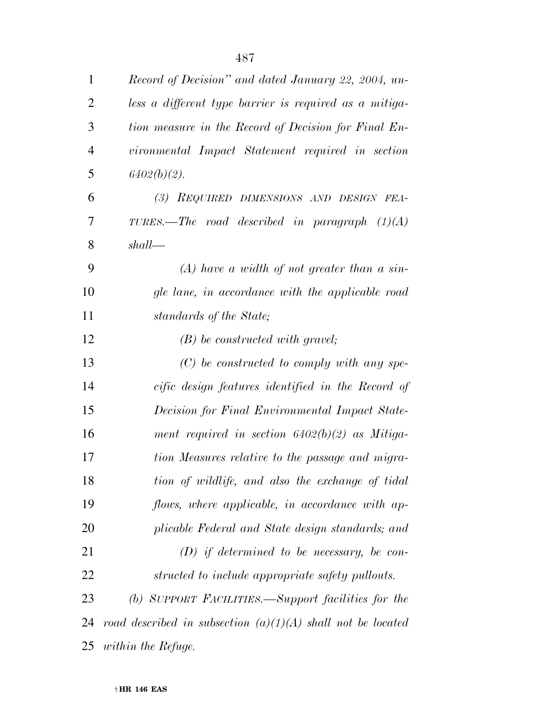| $\mathbf{1}$   | Record of Decision" and dated January 22, 2004, un-           |
|----------------|---------------------------------------------------------------|
| $\overline{2}$ | less a different type barrier is required as a mitiga-        |
| 3              | tion measure in the Record of Decision for Final En-          |
| $\overline{4}$ | vironmental Impact Statement required in section              |
| 5              | $6402(b)(2)$ .                                                |
| 6              | (3) REQUIRED DIMENSIONS AND DESIGN FEA-                       |
| 7              | TURES.—The road described in paragraph $(1)(A)$               |
| 8              | shall                                                         |
| 9              | $(A)$ have a width of not greater than a sin-                 |
| 10             | gle lane, in accordance with the applicable road              |
| 11             | standards of the State;                                       |
| 12             | $(B)$ be constructed with gravel;                             |
| 13             | $(C)$ be constructed to comply with any spe-                  |
| 14             | cific design features identified in the Record of             |
| 15             | Decision for Final Environmental Impact State-                |
| 16             | ment required in section $6402(b)(2)$ as Mitiga-              |
| 17             | tion Measures relative to the passage and migra-              |
| 18             | tion of wildlife, and also the exchange of tidal              |
| 19             | flows, where applicable, in accordance with ap-               |
| 20             | plicable Federal and State design standards; and              |
| 21             | $(D)$ if determined to be necessary, be con-                  |
| 22             | structed to include appropriate safety pullouts.              |
| 23             | (b) SUPPORT FACILITIES.—Support facilities for the            |
| 24             | road described in subsection $(a)(1)(A)$ shall not be located |
| 25             | within the Refuge.                                            |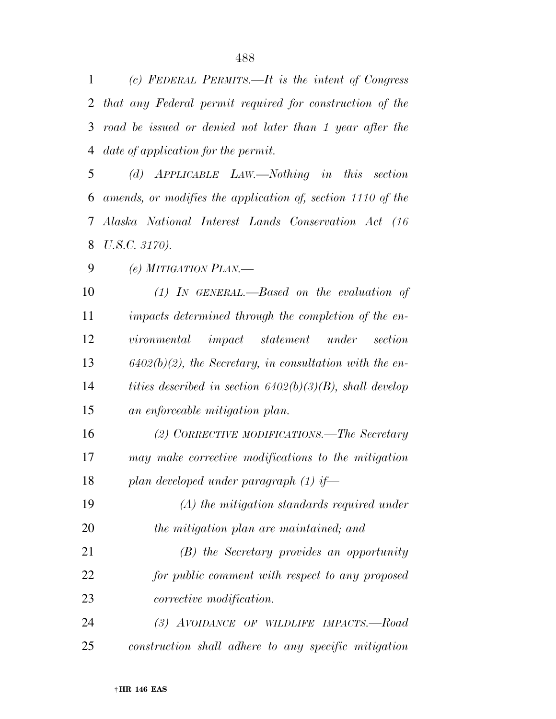*(c) FEDERAL PERMITS.—It is the intent of Congress that any Federal permit required for construction of the road be issued or denied not later than 1 year after the date of application for the permit.* 

 *(d) APPLICABLE LAW.—Nothing in this section amends, or modifies the application of, section 1110 of the Alaska National Interest Lands Conservation Act (16 U.S.C. 3170).* 

*(e) MITIGATION PLAN.—* 

 *(1) IN GENERAL.—Based on the evaluation of impacts determined through the completion of the en- vironmental impact statement under section 6402(b)(2), the Secretary, in consultation with the en- tities described in section 6402(b)(3)(B), shall develop an enforceable mitigation plan.* 

 *(2) CORRECTIVE MODIFICATIONS.—The Secretary may make corrective modifications to the mitigation plan developed under paragraph (1) if—* 

 *(A) the mitigation standards required under the mitigation plan are maintained; and* 

 *(B) the Secretary provides an opportunity for public comment with respect to any proposed corrective modification.* 

 *(3) AVOIDANCE OF WILDLIFE IMPACTS.—Road construction shall adhere to any specific mitigation*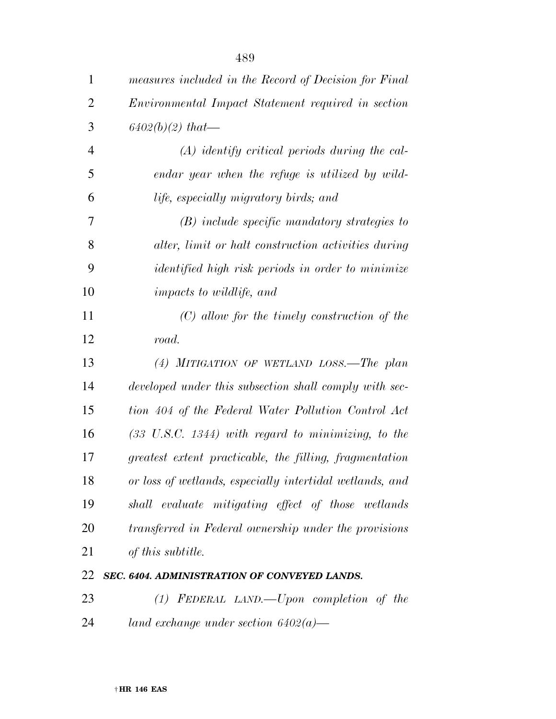| $\mathbf{1}$   | measures included in the Record of Decision for Final    |
|----------------|----------------------------------------------------------|
| $\overline{2}$ | Environmental Impact Statement required in section       |
| 3              | $6402(b)(2)$ that—                                       |
| 4              | $(A)$ identify critical periods during the cal-          |
| 5              | endar year when the refuge is utilized by wild-          |
| 6              | life, especially migratory birds; and                    |
| 7              | $(B)$ include specific mandatory strategies to           |
| 8              | alter, limit or halt construction activities during      |
| 9              | <i>identified high risk periods in order to minimize</i> |
| 10             | <i>impacts to wildlife, and</i>                          |
| 11             | $(C)$ allow for the timely construction of the           |
| 12             | road.                                                    |
| 13             | $(4)$ MITIGATION OF WETLAND LOSS.—The plan               |
| 14             | developed under this subsection shall comply with sec-   |
| 15             | tion 404 of the Federal Water Pollution Control Act      |
| 16             | $(33 \, U.S.C. 1344)$ with regard to minimizing, to the  |
| 17             | greatest extent practicable, the filling, fragmentation  |
| 18             | or loss of wetlands, especially intertidal wetlands, and |
| 19             | shall evaluate mitigating effect of those wetlands       |
| 20             | transferred in Federal ownership under the provisions    |
| 21             | of this subtitle.                                        |
| 22             | SEC. 6404. ADMINISTRATION OF CONVEYED LANDS.             |
| 23             | $(1)$ FEDERAL LAND.—Upon completion of the               |
| 24             | land exchange under section $6402(a)$ —                  |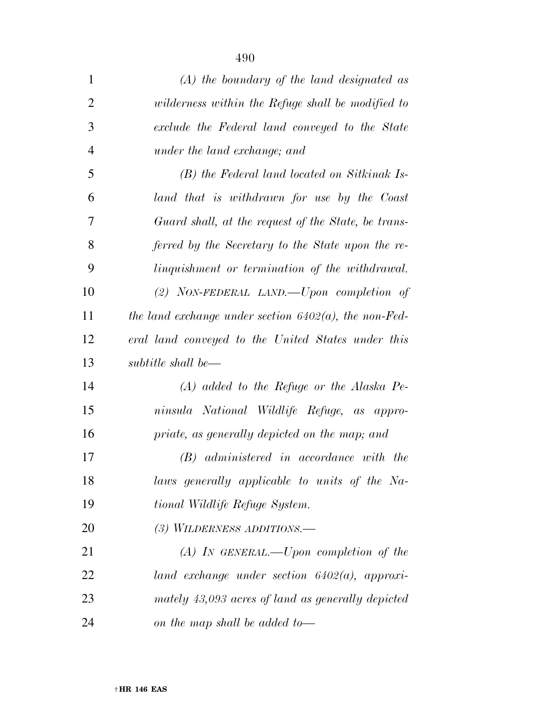| $\mathbf{1}$   | $(A)$ the boundary of the land designated as             |
|----------------|----------------------------------------------------------|
| $\overline{2}$ | wilderness within the Refuge shall be modified to        |
| 3              | exclude the Federal land conveyed to the State           |
| $\overline{4}$ | under the land exchange; and                             |
| 5              | (B) the Federal land located on Sitkinak Is-             |
| 6              | land that is withdrawn for use by the Coast              |
| 7              | Guard shall, at the request of the State, be trans-      |
| 8              | ferred by the Secretary to the State upon the re-        |
| 9              | linguishment or termination of the withdrawal.           |
| 10             | (2) NON-FEDERAL LAND.—Upon completion of                 |
| 11             | the land exchange under section $6402(a)$ , the non-Fed- |
| 12             | eral land conveyed to the United States under this       |
| 13             | subtitle shall be—                                       |
| 14             | $(A)$ added to the Refuge or the Alaska Pe-              |
| 15             | ninsula National Wildlife Refuge, as appro-              |
| 16             | priate, as generally depicted on the map; and            |
| 17             | (B) administered in accordance with the                  |
| 18             | laws generally applicable to units of the Na-            |
| 19             | tional Wildlife Refuge System.                           |
| 20             | (3) WILDERNESS ADDITIONS.—                               |
| 21             | $(A)$ In GENERAL.—Upon completion of the                 |
| 22             | land exchange under section $6402(a)$ , approxi-         |
| 23             | mately 43,093 acres of land as generally depicted        |
| 24             | on the map shall be added to—                            |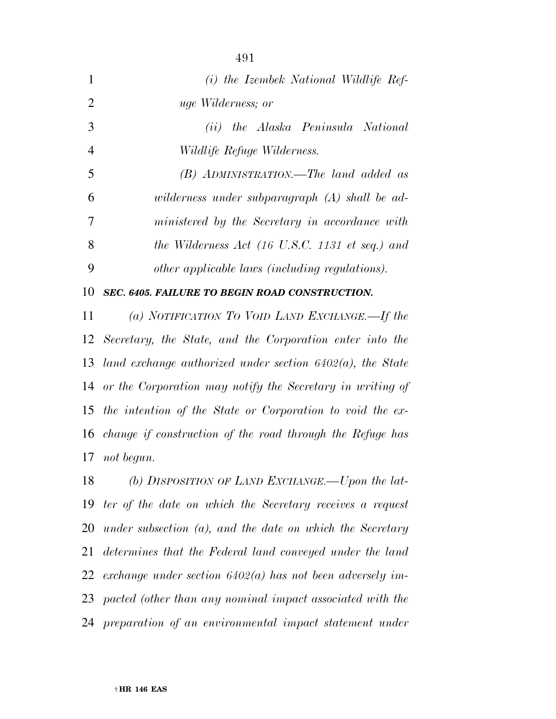|                | (i) the Izembek National Wildlife Ref-                |
|----------------|-------------------------------------------------------|
| 2              | <i>uge Wilderness</i> ; or                            |
| 3              | (ii) the Alaska Peninsula National                    |
| $\overline{4}$ | <i>Wildlife Refuge Wilderness.</i>                    |
| 5              | (B) ADMINISTRATION.—The land added as                 |
| 6              | wilderness under subparagraph (A) shall be ad-        |
| 7              | ministered by the Secretary in accordance with        |
| 8              | the Wilderness Act (16 U.S.C. 1131 et seq.) and       |
| 9              | other applicable laws (including regulations).        |
| 10             | <b>SEC. 6405. FAILURE TO BEGIN ROAD CONSTRUCTION.</b> |

 *(a) NOTIFICATION TO VOID LAND EXCHANGE.—If the Secretary, the State, and the Corporation enter into the land exchange authorized under section 6402(a), the State or the Corporation may notify the Secretary in writing of the intention of the State or Corporation to void the ex- change if construction of the road through the Refuge has not begun.* 

 *(b) DISPOSITION OF LAND EXCHANGE.—Upon the lat- ter of the date on which the Secretary receives a request under subsection (a), and the date on which the Secretary determines that the Federal land conveyed under the land exchange under section 6402(a) has not been adversely im- pacted (other than any nominal impact associated with the preparation of an environmental impact statement under*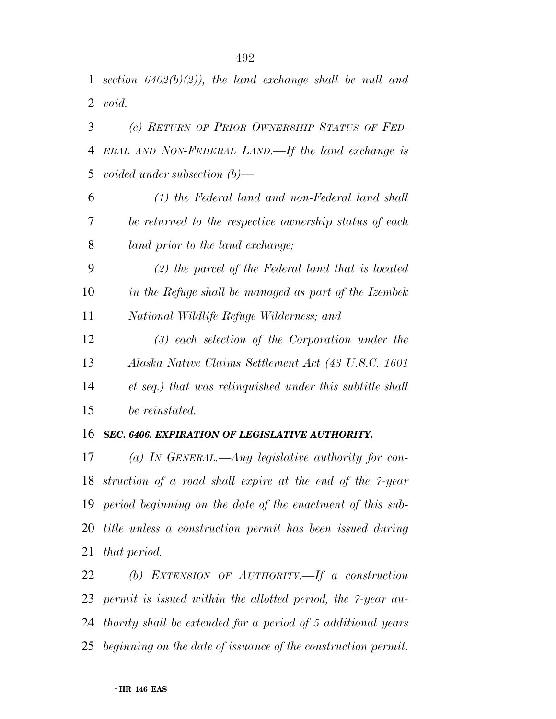*section 6402(b)(2)), the land exchange shall be null and void.* 

 *(c) RETURN OF PRIOR OWNERSHIP STATUS OF FED- ERAL AND NON-FEDERAL LAND.—If the land exchange is voided under subsection (b)—* 

 *(1) the Federal land and non-Federal land shall be returned to the respective ownership status of each land prior to the land exchange;* 

 *(2) the parcel of the Federal land that is located in the Refuge shall be managed as part of the Izembek National Wildlife Refuge Wilderness; and* 

 *(3) each selection of the Corporation under the Alaska Native Claims Settlement Act (43 U.S.C. 1601 et seq.) that was relinquished under this subtitle shall be reinstated.* 

#### *SEC. 6406. EXPIRATION OF LEGISLATIVE AUTHORITY.*

 *(a) IN GENERAL.—Any legislative authority for con- struction of a road shall expire at the end of the 7-year period beginning on the date of the enactment of this sub- title unless a construction permit has been issued during that period.* 

 *(b) EXTENSION OF AUTHORITY.—If a construction permit is issued within the allotted period, the 7-year au- thority shall be extended for a period of 5 additional years beginning on the date of issuance of the construction permit.*